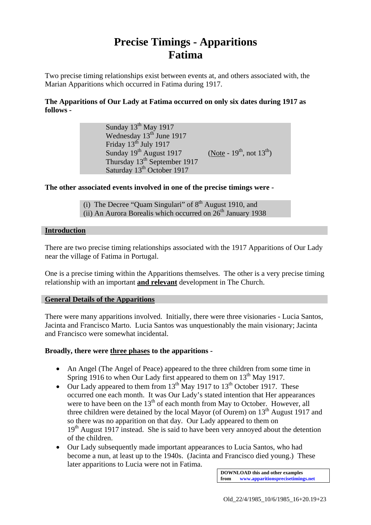# **Precise Timings - Apparitions Fatima**

Two precise timing relationships exist between events at, and others associated with, the Marian Apparitions which occurred in Fatima during 1917.

## **The Apparitions of Our Lady at Fatima occurred on only six dates during 1917 as follows -**

Sunday 13<sup>th</sup> May 1917 Wednesday 13<sup>th</sup> June 1917 Friday  $13<sup>th</sup>$  July 1917 Sunday  $19^{th}$  August 1917 (Note -  $19^{th}$ , not  $13^{th}$ ) Thursday 13<sup>th</sup> September 1917 Saturday  $13<sup>th</sup>$  October 1917

### **The other associated events involved in one of the precise timings were -**

(i) The Decree "Quam Singulari" of  $8<sup>th</sup>$  August 1910, and (ii) An Aurora Borealis which occurred on  $26<sup>th</sup>$  January 1938

#### **Introduction**

There are two precise timing relationships associated with the 1917 Apparitions of Our Lady near the village of Fatima in Portugal.

One is a precise timing within the Apparitions themselves. The other is a very precise timing relationship with an important **and relevant** development in The Church.

### **General Details of the Apparitions**

There were many apparitions involved. Initially, there were three visionaries - Lucia Santos, Jacinta and Francisco Marto. Lucia Santos was unquestionably the main visionary; Jacinta and Francisco were somewhat incidental.

#### **Broadly, there were three phases to the apparitions -**

- An Angel (The Angel of Peace) appeared to the three children from some time in Spring 1916 to when Our Lady first appeared to them on  $13<sup>th</sup>$  May 1917.
- Our Lady appeared to them from  $13^{th}$  May 1917 to  $13^{th}$  October 1917. These occurred one each month. It was Our Lady's stated intention that Her appearances were to have been on the  $13<sup>th</sup>$  of each month from May to October. However, all three children were detained by the local Mayor (of Ourem) on  $13<sup>th</sup>$  August 1917 and so there was no apparition on that day. Our Lady appeared to them on  $19<sup>th</sup>$  August 1917 instead. She is said to have been very annoyed about the detention of the children.
- Our Lady subsequently made important appearances to Lucia Santos, who had become a nun, at least up to the 1940s. (Jacinta and Francisco died young.) These later apparitions to Lucia were not in Fatima.

**DOWNLOAD this and other examples from www.apparitionsprecisetimings.net**